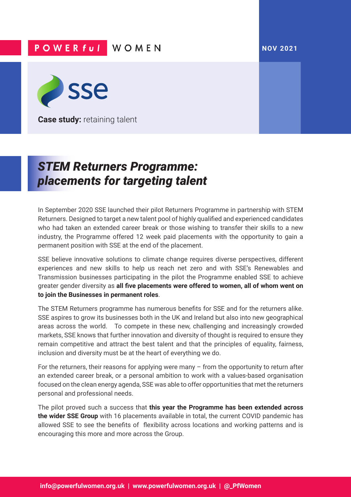## **NOV 2021**

## **POWERful WOMEN**



**Case study: retaining talent** 

## *STEM Returners Programme: placements for targeting talent*

In September 2020 SSE launched their pilot Returners Programme in partnership with STEM Returners. Designed to target a new talent pool of highly qualified and experienced candidates who had taken an extended career break or those wishing to transfer their skills to a new industry, the Programme offered 12 week paid placements with the opportunity to gain a permanent position with SSE at the end of the placement.

SSE believe innovative solutions to climate change requires diverse perspectives, different experiences and new skills to help us reach net zero and with SSE's Renewables and Transmission businesses participating in the pilot the Programme enabled SSE to achieve greater gender diversity as **all five placements were offered to women, all of whom went on to join the Businesses in permanent roles**.

The STEM Returners programme has numerous benefits for SSE and for the returners alike. SSE aspires to grow its businesses both in the UK and Ireland but also into new geographical areas across the world. To compete in these new, challenging and increasingly crowded markets, SSE knows that further innovation and diversity of thought is required to ensure they remain competitive and attract the best talent and that the principles of equality, fairness, inclusion and diversity must be at the heart of everything we do.

For the returners, their reasons for applying were many  $-$  from the opportunity to return after an extended career break, or a personal ambition to work with a values-based organisation focused on the clean energy agenda, SSE was able to offer opportunities that met the returners personal and professional needs.

The pilot proved such a success that **this year the Programme has been extended across the wider SSE Group** with 16 placements available in total, the current COVID pandemic has allowed SSE to see the benefits of flexibility across locations and working patterns and is encouraging this more and more across the Group.